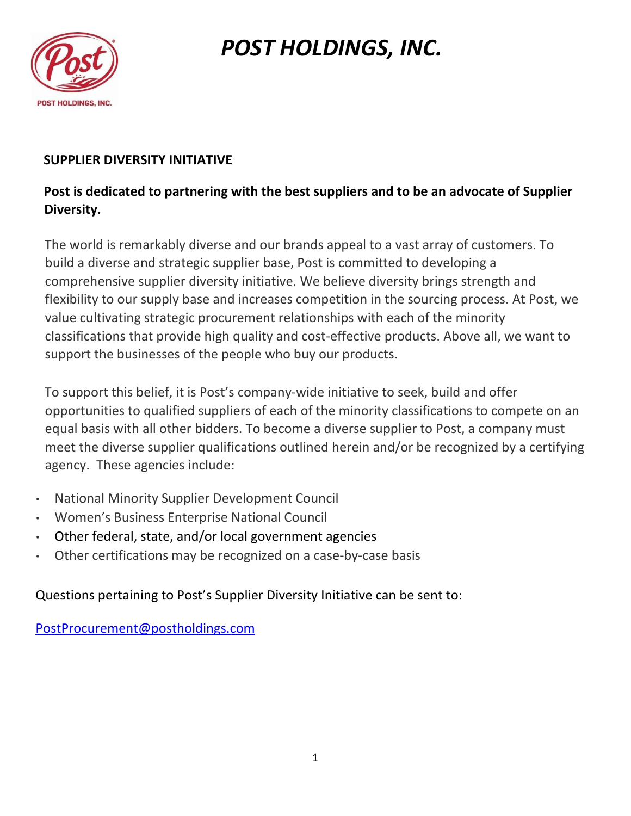

# *POST HOLDINGS, INC.*

### **SUPPLIER DIVERSITY INITIATIVE**

### **Post is dedicated to partnering with the best suppliers and to be an advocate of Supplier Diversity.**

The world is remarkably diverse and our brands appeal to a vast array of customers. To build a diverse and strategic supplier base, Post is committed to developing a comprehensive supplier diversity initiative. We believe diversity brings strength and flexibility to our supply base and increases competition in the sourcing process. At Post, we value cultivating strategic procurement relationships with each of the minority classifications that provide high quality and cost-effective products. Above all, we want to support the businesses of the people who buy our products.

To support this belief, it is Post's company-wide initiative to seek, build and offer opportunities to qualified suppliers of each of the minority classifications to compete on an equal basis with all other bidders. To become a diverse supplier to Post, a company must meet the diverse supplier qualifications outlined herein and/or be recognized by a certifying agency. These agencies include:

- National Minority Supplier Development Council
- Women's Business Enterprise National Council
- Other federal, state, and/or local government agencies
- Other certifications may be recognized on a case-by-case basis

Questions pertaining to Post's Supplier Diversity Initiative can be sent to:

PostProcurement@postholdings.com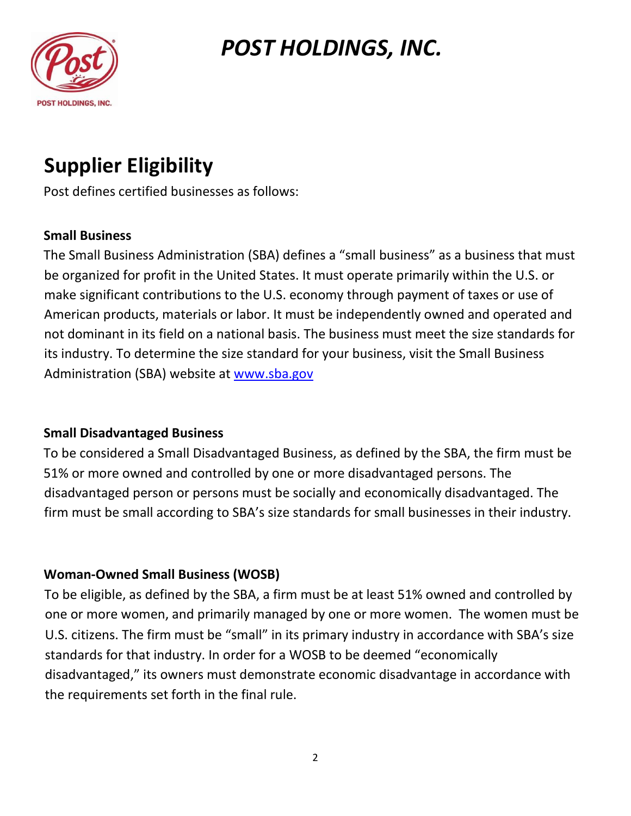

### *POST HOLDINGS, INC.*

# **Supplier Eligibility**

Post defines certified businesses as follows:

#### **Small Business**

The Small Business Administration (SBA) defines a "small business" as a business that must be organized for profit in the United States. It must operate primarily within the U.S. or make significant contributions to the U.S. economy through payment of taxes or use of American products, materials or labor. It must be independently owned and operated and not dominant in its field on a national basis. The business must meet the size standards for its industry. To determine the size standard for your business, visit the Small Business Administration (SBA) website at [www.sba.gov](http://www.sba.gov/)

#### **Small Disadvantaged Business**

To be considered a Small Disadvantaged Business, as defined by the SBA, the firm must be 51% or more owned and controlled by one or more disadvantaged persons. The disadvantaged person or persons must be socially and economically disadvantaged. The firm must be small according to SBA's size standards for small businesses in their industry.

### **Woman-Owned Small Business (WOSB)**

To be eligible, as defined by the SBA, a firm must be at least 51% owned and controlled by one or more women, and primarily managed by one or more women. The women must be U.S. citizens. The firm must be "small" in its primary industry in accordance with SBA's size standards for that industry. In order for a WOSB to be deemed "economically disadvantaged," its owners must demonstrate economic disadvantage in accordance with the requirements set forth in the final rule.